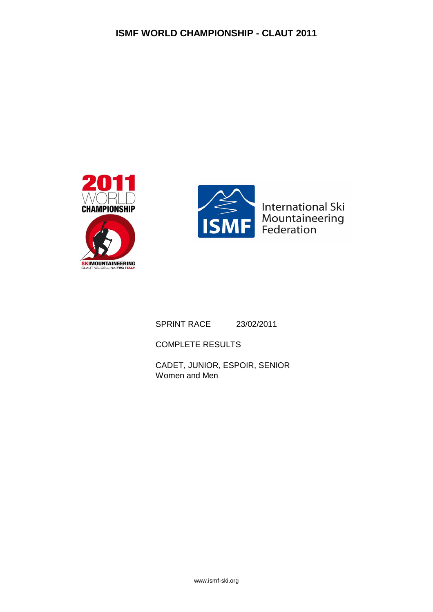



SPRINT RACE 23/02/2011

COMPLETE RESULTS

CADET, JUNIOR, ESPOIR, SENIOR Women and Men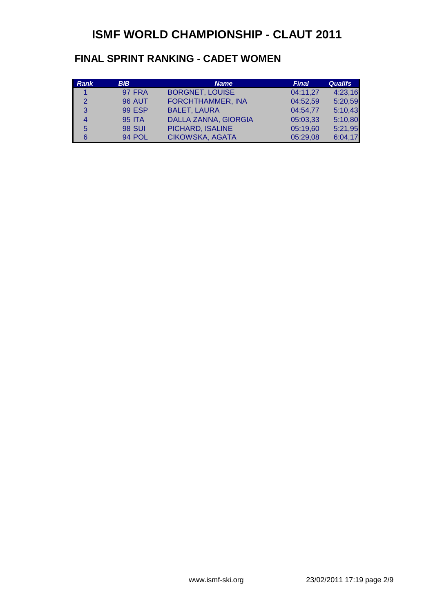#### **FINAL SPRINT RANKING - CADET WOMEN**

| Rank          | <b>BIB</b>    | <b>Name</b>              | <b>Final</b> | <b>Qualifs</b> |
|---------------|---------------|--------------------------|--------------|----------------|
|               | <b>97 FRA</b> | <b>BORGNET, LOUISE</b>   | 04:11,27     | 4:23,16        |
| $\mathcal{P}$ | <b>96 AUT</b> | <b>FORCHTHAMMER, INA</b> | 04:52,59     | 5:20,59        |
| 3             | <b>99 ESP</b> | <b>BALET, LAURA</b>      | 04:54,77     | 5:10,43        |
| 4             | <b>95 ITA</b> | DALLA ZANNA, GIORGIA     | 05:03,33     | 5:10,80        |
| 5             | <b>98 SUI</b> | PICHARD, ISALINE         | 05:19,60     | 5:21,95        |
|               | 94 POL        | CIKOWSKA, AGATA          | 05:29,08     | 6:04,17        |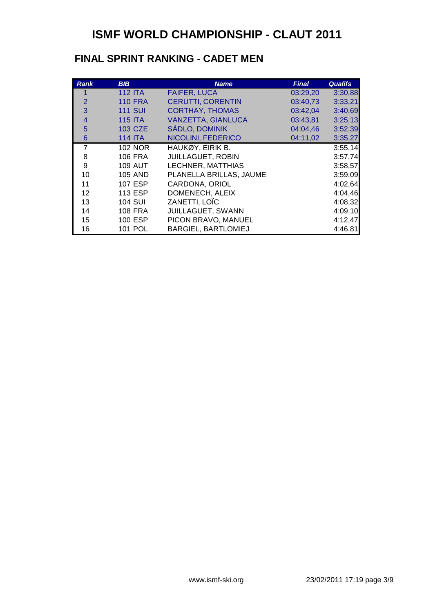#### **FINAL SPRINT RANKING - CADET MEN**

| <b>Rank</b>    | <b>BIB</b>     | <b>Name</b>                | <b>Final</b> | <b>Qualifs</b> |
|----------------|----------------|----------------------------|--------------|----------------|
|                | <b>112 ITA</b> | <b>FAIFER, LUCA</b>        | 03:29,20     | 3:30,88        |
| $\overline{2}$ | <b>110 FRA</b> | <b>CERUTTI, CORENTIN</b>   | 03:40,73     | 3:33,21        |
| 3              | <b>111 SUI</b> | <b>CORTHAY, THOMAS</b>     | 03:42,04     | 3:40,69        |
| 4              | <b>115 ITA</b> | <b>VANZETTA, GIANLUCA</b>  | 03:43,81     | 3:25,13        |
| 5              | <b>103 CZE</b> | <b>SÁDLO, DOMINIK</b>      | 04:04,46     | 3:52,39        |
| 6              | <b>114 ITA</b> | NICOLINI, FEDERICO         | 04:11,02     | 3:35,27        |
| $\overline{7}$ | <b>102 NOR</b> | HAUKØY, EIRIK B.           |              | 3:55,14        |
| 8              | <b>106 FRA</b> | <b>JUILLAGUET, ROBIN</b>   |              | 3:57,74        |
| 9              | <b>109 AUT</b> | LECHNER, MATTHIAS          |              | 3:58,57        |
| 10             | <b>105 AND</b> | PLANELLA BRILLAS, JAUME    |              | 3:59,09        |
| 11             | 107 ESP        | CARDONA, ORIOL             |              | 4:02,64        |
| 12             | <b>113 ESP</b> | DOMENECH, ALEIX            |              | 4:04,46        |
| 13             | <b>104 SUI</b> | ZANETTI, LOÏC              |              | 4:08,32        |
| 14             | <b>108 FRA</b> | JUILLAGUET, SWANN          |              | 4:09,10        |
| 15             | <b>100 ESP</b> | PICON BRAVO, MANUEL        |              | 4:12,47        |
| 16             | 101 POL        | <b>BARGIEL, BARTLOMIEJ</b> |              | 4:46,81        |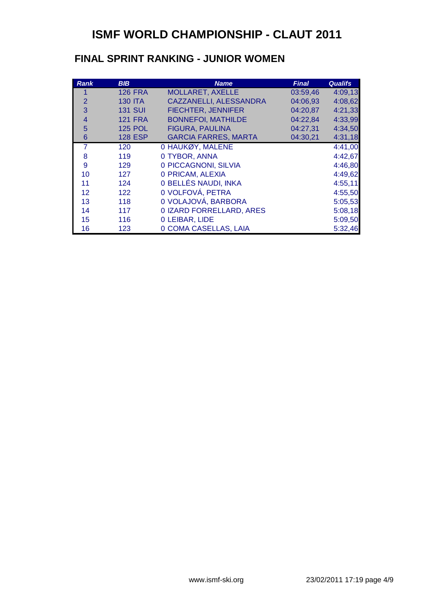#### **FINAL SPRINT RANKING - JUNIOR WOMEN**

| <b>Rank</b> | <b>BIB</b>     | <b>Name</b>                 | <b>Final</b> | <b>Qualifs</b> |
|-------------|----------------|-----------------------------|--------------|----------------|
|             | <b>126 FRA</b> | <b>MOLLARET, AXELLE</b>     | 03:59.46     | 4:09,13        |
| 2           | <b>130 ITA</b> | CAZZANELLI, ALESSANDRA      | 04:06,93     | 4:08,62        |
| 3           | <b>131 SUI</b> | <b>FIECHTER, JENNIFER</b>   | 04:20,87     | 4:21,33        |
| 4           | <b>121 FRA</b> | <b>BONNEFOI, MATHILDE</b>   | 04:22,84     | 4:33,99        |
| 5           | <b>125 POL</b> | <b>FIGURA, PAULINA</b>      | 04:27,31     | 4:34,50        |
| 6           | <b>128 ESP</b> | <b>GARCIA FARRES, MARTA</b> | 04:30,21     | 4:31,18        |
| 7           | 120            | 0 HAUKØY, MALENE            |              | 4:41,00        |
| 8           | 119            | 0 TYBOR, ANNA               |              | 4:42,67        |
| 9           | 129            | 0 PICCAGNONI, SILVIA        |              | 4:46,80        |
| 10          | 127            | 0 PRICAM, ALEXIA            |              | 4:49,62        |
| 11          | 124            | 0 BELLÉS NAUDI, INKA        |              | 4:55,11        |
| 12          | 122            | 0 VOLFOVÁ, PETRA            |              | 4:55,50        |
| 13          | 118            | 0 VOLAJOVÁ, BARBORA         |              | 5:05,53        |
| 14          | 117            | 0 IZARD FORRELLARD, ARES    |              | 5:08,18        |
| 15          | 116            | 0 LEIBAR, LIDE              |              | 5:09,50        |
| 16          | 123            | 0 COMA CASELLAS, LAIA       |              | 5:32,46        |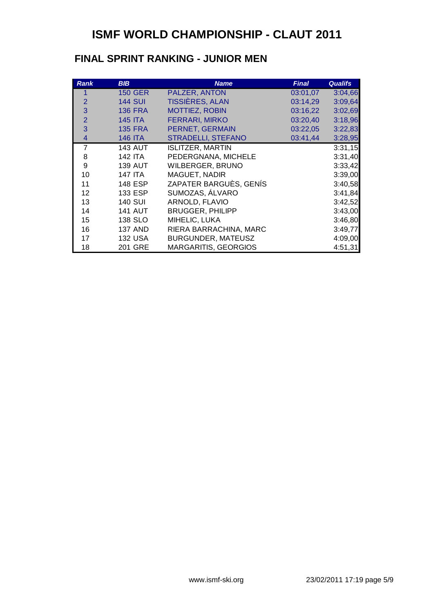#### **FINAL SPRINT RANKING - JUNIOR MEN**

| <b>Rank</b>    | <b>BIB</b>     | <b>Name</b>                 | <b>Final</b> | <b>Qualifs</b> |
|----------------|----------------|-----------------------------|--------------|----------------|
|                | <b>150 GER</b> | PALZER, ANTON               | 03:01,07     | 3:04,66        |
| 2              | <b>144 SUI</b> | <b>TISSIÈRES, ALAN</b>      | 03:14,29     | 3:09,64        |
| 3              | <b>136 FRA</b> | <b>MOTTIEZ, ROBIN</b>       | 03:16,22     | 3:02,69        |
| $\overline{2}$ | <b>145 ITA</b> | <b>FERRARI, MIRKO</b>       | 03:20,40     | 3:18,96        |
| 3              | <b>135 FRA</b> | PERNET, GERMAIN             | 03:22,05     | 3:22,83        |
| 4              | <b>146 ITA</b> | <b>STRADELLI, STEFANO</b>   | 03:41,44     | 3:28,95        |
| $\overline{7}$ | <b>143 AUT</b> | <b>ISLITZER, MARTIN</b>     |              | 3:31,15        |
| 8              | 142 ITA        | PEDERGNANA, MICHELE         |              | 3:31,40        |
| 9              | <b>139 AUT</b> | <b>WILBERGER, BRUNO</b>     |              | 3:33,42        |
| 10             | 147 ITA        | MAGUET, NADIR               |              | 3:39,00        |
| 11             | 148 ESP        | ZAPATER BARGUÈS, GENÍS      |              | 3:40,58        |
| 12             | 133 ESP        | SUMOZAS, ÁLVARO             |              | 3:41,84        |
| 13             | <b>140 SUI</b> | ARNOLD, FLAVIO              |              | 3:42,52        |
| 14             | <b>141 AUT</b> | <b>BRUGGER, PHILIPP</b>     |              | 3:43,00        |
| 15             | 138 SLO        | MIHELIC, LUKA               |              | 3:46,80        |
| 16             | <b>137 AND</b> | RIERA BARRACHINA, MARC      |              | 3:49,77        |
| 17             | <b>132 USA</b> | BURGUNDER, MATEUSZ          |              | 4:09,00        |
| 18             | 201 GRE        | <b>MARGARITIS, GEORGIOS</b> |              | 4:51,31        |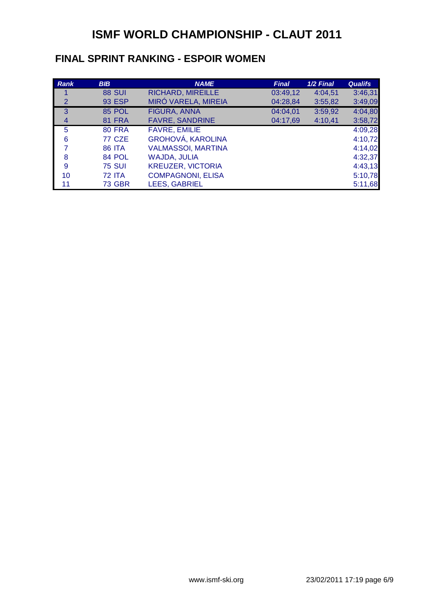#### **FINAL SPRINT RANKING - ESPOIR WOMEN**

| <b>Rank</b>    | <b>BIB</b>    | <b>NAME</b>               | <b>Final</b> | 1/2 Final | <b>Qualifs</b> |
|----------------|---------------|---------------------------|--------------|-----------|----------------|
|                | <b>88 SUI</b> | <b>RICHARD, MIREILLE</b>  | 03:49,12     | 4:04,51   | 3:46,31        |
| 2              | <b>93 ESP</b> | MIRÓ VARELA, MIREIA       | 04:28,84     | 3:55,82   | 3:49,09        |
| 3              | <b>85 POL</b> | <b>FIGURA, ANNA</b>       | 04:04,01     | 3:59,92   | 4:04,80        |
| $\overline{4}$ | <b>81 FRA</b> | <b>FAVRE, SANDRINE</b>    | 04:17,69     | 4:10,41   | 3:58,72        |
| 5              | <b>80 FRA</b> | <b>FAVRE, EMILIE</b>      |              |           | 4:09,28        |
| 6              | <b>77 CZE</b> | <b>GROHOVÁ, KAROLINA</b>  |              |           | 4:10,72        |
| 7              | <b>86 ITA</b> | <b>VALMASSOI, MARTINA</b> |              |           | 4:14,02        |
| 8              | 84 POL        | <b>WAJDA, JULIA</b>       |              |           | 4:32,37        |
| 9              | <b>75 SUI</b> | <b>KREUZER, VICTORIA</b>  |              |           | 4:43,13        |
| 10             | <b>72 ITA</b> | <b>COMPAGNONI, ELISA</b>  |              |           | 5:10,78        |
| 11             | <b>73 GBR</b> | <b>LEES, GABRIEL</b>      |              |           | 5:11,68        |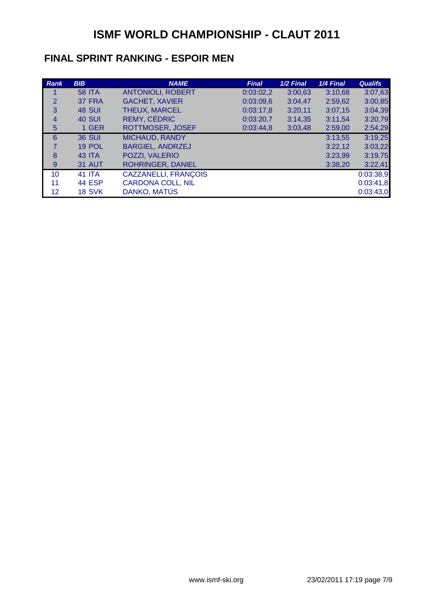#### **FINAL SPRINT RANKING - ESPOIR MEN**

| Rank           | <b>BIB</b>    | <b>NAME</b>              | <b>Final</b> | 1/2 Final | 1/4 Final | <b>Qualifs</b> |
|----------------|---------------|--------------------------|--------------|-----------|-----------|----------------|
|                | <b>58 ITA</b> | <b>ANTONIOLI, ROBERT</b> | 0:03:02,2    | 3:00,63   | 3:10,68   | 3:07,63        |
| $\overline{2}$ | 37 FRA        | <b>GACHET, XAVIER</b>    | 0:03:09,6    | 3:04,47   | 2:59,62   | 3:00,85        |
| 3              | <b>48 SUI</b> | THEUX, MARCEL            | 0:03:17,8    | 3:20,11   | 3:07,15   | 3:04,39        |
| $\overline{4}$ | <b>40 SUI</b> | REMY, CÉDRIC             | 0:03:20,7    | 3:14,35   | 3:11,54   | 3:20,79        |
| 5              | 1 GER         | ROTTMOSER, JOSEF         | 0:03:44,8    | 3:03,48   | 2:59,00   | 2:54,29        |
| 6              | <b>36 SUI</b> | <b>MICHAUD, RANDY</b>    |              |           | 3:13,55   | 3:19,25        |
| $\overline{7}$ | 19 POL        | <b>BARGIEL, ANDRZEJ</b>  |              |           | 3:22,12   | 3:03,22        |
| 8              | 43 ITA        | POZZI, VALERIO           |              |           | 3:23,99   | 3:19,75        |
| 9              | <b>31 AUT</b> | <b>ROHRINGER, DANIEL</b> |              |           | 3:38,20   | 3:22,41        |
| 10             | <b>41 ITA</b> | CAZZANELLI, FRANÇOIS     |              |           |           | 0:03:38,9      |
| 11             | <b>44 ESP</b> | <b>CARDONA COLL, NIL</b> |              |           |           | 0:03:41,8      |
| 12             | <b>18 SVK</b> | DANKO, MATÚS             |              |           |           | 0:03:43,0      |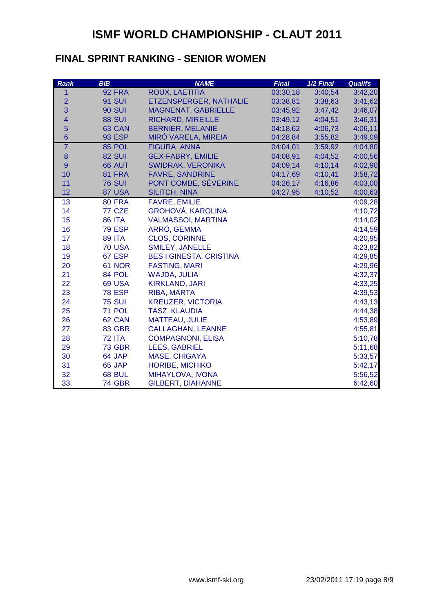#### **FINAL SPRINT RANKING - SENIOR WOMEN**

| <b>Rank</b>             | <b>BIB</b>    | <b>NAME</b>                    | <b>Final</b> | 1/2 Final | <b>Qualifs</b> |
|-------------------------|---------------|--------------------------------|--------------|-----------|----------------|
| 1                       | <b>92 FRA</b> | ROUX, LAETITIA                 | 03:30,18     | 3:40,54   | 3:42,20        |
| $\overline{2}$          | <b>91 SUI</b> | ETZENSPERGER, NATHALIE         | 03:38,81     | 3:38,63   | 3:41,62        |
| 3                       | <b>90 SUI</b> | <b>MAGNENAT, GABRIELLE</b>     | 03:45,92     | 3:47,42   | 3:46,07        |
| $\overline{\mathbf{4}}$ | <b>88 SUI</b> | <b>RICHARD, MIREILLE</b>       | 03:49,12     | 4:04,51   | 3:46,31        |
| 5                       | 63 CAN        | <b>BERNIER, MELANIE</b>        | 04:18,62     | 4:06,73   | 4:06,11        |
| $6\phantom{1}6$         | <b>93 ESP</b> | MIRÓ VARELA, MIREIA            | 04:28,84     | 3:55,82   | 3:49,09        |
| $\overline{7}$          | 85 POL        | <b>FIGURA, ANNA</b>            | 04:04,01     | 3:59,92   | 4:04,80        |
| $\bf 8$                 | <b>82 SUI</b> | <b>GEX-FABRY, EMILIE</b>       | 04:08,91     | 4:04,52   | 4:00,56        |
| $\overline{9}$          | 66 AUT        | <b>SWIDRAK, VERONIKA</b>       | 04:09,14     | 4:10,14   | 4:02,90        |
| 10                      | 81 FRA        | <b>FAVRE, SANDRINE</b>         | 04:17,69     | 4:10,41   | 3:58,72        |
| 11                      | <b>76 SUI</b> | PONT COMBE, SÉVERINE           | 04:26,17     | 4:16,86   | 4:03,00        |
| 12                      | 87 USA        | <b>SILITCH, NINA</b>           | 04:27,95     | 4:10,52   | 4:00,63        |
| 13                      | <b>80 FRA</b> | <b>FAVRE, EMILIE</b>           |              |           | 4:09,28        |
| 14                      | 77 CZE        | <b>GROHOVÁ, KAROLINA</b>       |              |           | 4:10,72        |
| 15                      | <b>86 ITA</b> | <b>VALMASSOI, MARTINA</b>      |              |           | 4:14,02        |
| 16                      | <b>79 ESP</b> | ARRÓ, GEMMA                    |              |           | 4:14,59        |
| 17                      | <b>89 ITA</b> | <b>CLOS, CORINNE</b>           |              |           | 4:20,95        |
| 18                      | <b>70 USA</b> | <b>SMILEY, JANELLE</b>         |              |           | 4:23,82        |
| 19                      | 67 ESP        | <b>BES I GINESTA, CRISTINA</b> |              |           | 4:29,85        |
| 20                      | 61 NOR        | <b>FASTING, MARI</b>           |              |           | 4:29,96        |
| 21                      | 84 POL        | <b>WAJDA, JULIA</b>            |              |           | 4:32,37        |
| 22                      | <b>69 USA</b> | <b>KIRKLAND, JARI</b>          |              |           | 4:33,25        |
| 23                      | <b>78 ESP</b> | RIBA, MARTA                    |              |           | 4:39,53        |
| 24                      | <b>75 SUI</b> | <b>KREUZER, VICTORIA</b>       |              |           | 4:43,13        |
| 25                      | 71 POL        | <b>TASZ, KLAUDIA</b>           |              |           | 4:44,38        |
| 26                      | 62 CAN        | <b>MATTEAU, JULIE</b>          |              |           | 4:53,89        |
| 27                      | 83 GBR        | <b>CALLAGHAN, LEANNE</b>       |              |           | 4:55,81        |
| 28                      | <b>72 ITA</b> | <b>COMPAGNONI, ELISA</b>       |              |           | 5:10,78        |
| 29                      | <b>73 GBR</b> | <b>LEES, GABRIEL</b>           |              |           | 5:11,68        |
| 30                      | 64 JAP        | MASE, CHIGAYA                  |              |           | 5:33,57        |
| 31                      | 65 JAP        | <b>HORIBE, MICHIKO</b>         |              |           | 5:42,17        |
| 32                      | <b>68 BUL</b> | MIHAYLOVA, IVONA               |              |           | 5:56,52        |
| 33                      | 74 GBR        | <b>GILBERT, DIAHANNE</b>       |              |           | 6:42,60        |